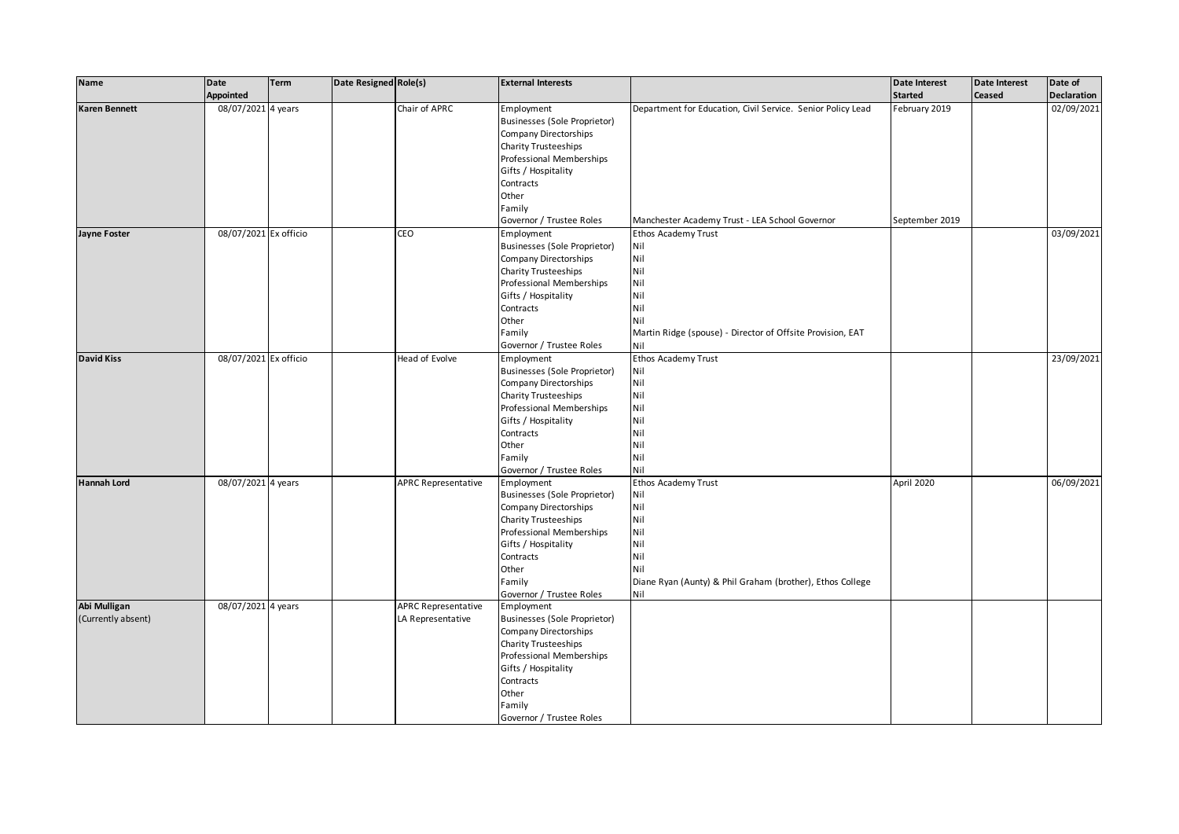| 02/09/2021<br>08/07/2021 4 years<br>Chair of APRC<br>Karen Bennett<br>Employment<br>Department for Education, Civil Service. Senior Policy Lead<br>February 2019<br>Businesses (Sole Proprietor)<br>Company Directorships<br><b>Charity Trusteeships</b><br>Professional Memberships<br>Gifts / Hospitality<br>Contracts<br>Other<br>Family<br>Governor / Trustee Roles<br>Manchester Academy Trust - LEA School Governor<br>September 2019<br>08/07/2021 Ex officio<br>CEO<br>03/09/2021<br>Ethos Academy Trust<br>Jayne Foster<br>Employment<br><b>Businesses (Sole Proprietor)</b><br>Nil<br>Nil<br>Company Directorships<br>Nil<br>Charity Trusteeships<br>Nil<br>Professional Memberships<br>Nil<br>Gifts / Hospitality<br>Nil<br>Contracts<br>Other<br>Nil<br>Family<br>Martin Ridge (spouse) - Director of Offsite Provision, EAT<br>Governor / Trustee Roles<br>Nil<br>08/07/2021 Ex officio<br>Ethos Academy Trust<br>23/09/2021<br><b>David Kiss</b><br>Head of Evolve<br>Employment<br>Nil<br>Businesses (Sole Proprietor)<br>Nil<br>Company Directorships<br>Nil<br>Charity Trusteeships<br>Nil<br>Professional Memberships | Name | Date<br><b>Appointed</b> | <b>Term</b> | Date Resigned Role(s) | <b>External Interests</b> |     | Date Interest<br><b>Started</b> | <b>Date Interest</b><br><b>Ceased</b> | Date of<br><b>Declaration</b> |
|-----------------------------------------------------------------------------------------------------------------------------------------------------------------------------------------------------------------------------------------------------------------------------------------------------------------------------------------------------------------------------------------------------------------------------------------------------------------------------------------------------------------------------------------------------------------------------------------------------------------------------------------------------------------------------------------------------------------------------------------------------------------------------------------------------------------------------------------------------------------------------------------------------------------------------------------------------------------------------------------------------------------------------------------------------------------------------------------------------------------------------------------|------|--------------------------|-------------|-----------------------|---------------------------|-----|---------------------------------|---------------------------------------|-------------------------------|
|                                                                                                                                                                                                                                                                                                                                                                                                                                                                                                                                                                                                                                                                                                                                                                                                                                                                                                                                                                                                                                                                                                                                         |      |                          |             |                       |                           |     |                                 |                                       |                               |
|                                                                                                                                                                                                                                                                                                                                                                                                                                                                                                                                                                                                                                                                                                                                                                                                                                                                                                                                                                                                                                                                                                                                         |      |                          |             |                       |                           |     |                                 |                                       |                               |
|                                                                                                                                                                                                                                                                                                                                                                                                                                                                                                                                                                                                                                                                                                                                                                                                                                                                                                                                                                                                                                                                                                                                         |      |                          |             |                       |                           |     |                                 |                                       |                               |
|                                                                                                                                                                                                                                                                                                                                                                                                                                                                                                                                                                                                                                                                                                                                                                                                                                                                                                                                                                                                                                                                                                                                         |      |                          |             |                       |                           |     |                                 |                                       |                               |
|                                                                                                                                                                                                                                                                                                                                                                                                                                                                                                                                                                                                                                                                                                                                                                                                                                                                                                                                                                                                                                                                                                                                         |      |                          |             |                       |                           |     |                                 |                                       |                               |
|                                                                                                                                                                                                                                                                                                                                                                                                                                                                                                                                                                                                                                                                                                                                                                                                                                                                                                                                                                                                                                                                                                                                         |      |                          |             |                       |                           |     |                                 |                                       |                               |
|                                                                                                                                                                                                                                                                                                                                                                                                                                                                                                                                                                                                                                                                                                                                                                                                                                                                                                                                                                                                                                                                                                                                         |      |                          |             |                       |                           |     |                                 |                                       |                               |
|                                                                                                                                                                                                                                                                                                                                                                                                                                                                                                                                                                                                                                                                                                                                                                                                                                                                                                                                                                                                                                                                                                                                         |      |                          |             |                       |                           |     |                                 |                                       |                               |
|                                                                                                                                                                                                                                                                                                                                                                                                                                                                                                                                                                                                                                                                                                                                                                                                                                                                                                                                                                                                                                                                                                                                         |      |                          |             |                       |                           |     |                                 |                                       |                               |
|                                                                                                                                                                                                                                                                                                                                                                                                                                                                                                                                                                                                                                                                                                                                                                                                                                                                                                                                                                                                                                                                                                                                         |      |                          |             |                       |                           |     |                                 |                                       |                               |
|                                                                                                                                                                                                                                                                                                                                                                                                                                                                                                                                                                                                                                                                                                                                                                                                                                                                                                                                                                                                                                                                                                                                         |      |                          |             |                       |                           |     |                                 |                                       |                               |
|                                                                                                                                                                                                                                                                                                                                                                                                                                                                                                                                                                                                                                                                                                                                                                                                                                                                                                                                                                                                                                                                                                                                         |      |                          |             |                       |                           |     |                                 |                                       |                               |
|                                                                                                                                                                                                                                                                                                                                                                                                                                                                                                                                                                                                                                                                                                                                                                                                                                                                                                                                                                                                                                                                                                                                         |      |                          |             |                       |                           |     |                                 |                                       |                               |
|                                                                                                                                                                                                                                                                                                                                                                                                                                                                                                                                                                                                                                                                                                                                                                                                                                                                                                                                                                                                                                                                                                                                         |      |                          |             |                       |                           |     |                                 |                                       |                               |
|                                                                                                                                                                                                                                                                                                                                                                                                                                                                                                                                                                                                                                                                                                                                                                                                                                                                                                                                                                                                                                                                                                                                         |      |                          |             |                       |                           |     |                                 |                                       |                               |
|                                                                                                                                                                                                                                                                                                                                                                                                                                                                                                                                                                                                                                                                                                                                                                                                                                                                                                                                                                                                                                                                                                                                         |      |                          |             |                       |                           |     |                                 |                                       |                               |
|                                                                                                                                                                                                                                                                                                                                                                                                                                                                                                                                                                                                                                                                                                                                                                                                                                                                                                                                                                                                                                                                                                                                         |      |                          |             |                       |                           |     |                                 |                                       |                               |
|                                                                                                                                                                                                                                                                                                                                                                                                                                                                                                                                                                                                                                                                                                                                                                                                                                                                                                                                                                                                                                                                                                                                         |      |                          |             |                       |                           |     |                                 |                                       |                               |
|                                                                                                                                                                                                                                                                                                                                                                                                                                                                                                                                                                                                                                                                                                                                                                                                                                                                                                                                                                                                                                                                                                                                         |      |                          |             |                       |                           |     |                                 |                                       |                               |
|                                                                                                                                                                                                                                                                                                                                                                                                                                                                                                                                                                                                                                                                                                                                                                                                                                                                                                                                                                                                                                                                                                                                         |      |                          |             |                       |                           |     |                                 |                                       |                               |
|                                                                                                                                                                                                                                                                                                                                                                                                                                                                                                                                                                                                                                                                                                                                                                                                                                                                                                                                                                                                                                                                                                                                         |      |                          |             |                       |                           |     |                                 |                                       |                               |
|                                                                                                                                                                                                                                                                                                                                                                                                                                                                                                                                                                                                                                                                                                                                                                                                                                                                                                                                                                                                                                                                                                                                         |      |                          |             |                       |                           |     |                                 |                                       |                               |
|                                                                                                                                                                                                                                                                                                                                                                                                                                                                                                                                                                                                                                                                                                                                                                                                                                                                                                                                                                                                                                                                                                                                         |      |                          |             |                       |                           |     |                                 |                                       |                               |
|                                                                                                                                                                                                                                                                                                                                                                                                                                                                                                                                                                                                                                                                                                                                                                                                                                                                                                                                                                                                                                                                                                                                         |      |                          |             |                       |                           |     |                                 |                                       |                               |
|                                                                                                                                                                                                                                                                                                                                                                                                                                                                                                                                                                                                                                                                                                                                                                                                                                                                                                                                                                                                                                                                                                                                         |      |                          |             |                       |                           |     |                                 |                                       |                               |
|                                                                                                                                                                                                                                                                                                                                                                                                                                                                                                                                                                                                                                                                                                                                                                                                                                                                                                                                                                                                                                                                                                                                         |      |                          |             |                       |                           |     |                                 |                                       |                               |
|                                                                                                                                                                                                                                                                                                                                                                                                                                                                                                                                                                                                                                                                                                                                                                                                                                                                                                                                                                                                                                                                                                                                         |      |                          |             |                       | Gifts / Hospitality       | Nil |                                 |                                       |                               |
| Nil<br>Contracts                                                                                                                                                                                                                                                                                                                                                                                                                                                                                                                                                                                                                                                                                                                                                                                                                                                                                                                                                                                                                                                                                                                        |      |                          |             |                       |                           |     |                                 |                                       |                               |
| Nil<br>Other                                                                                                                                                                                                                                                                                                                                                                                                                                                                                                                                                                                                                                                                                                                                                                                                                                                                                                                                                                                                                                                                                                                            |      |                          |             |                       |                           |     |                                 |                                       |                               |
| Nil<br>Family                                                                                                                                                                                                                                                                                                                                                                                                                                                                                                                                                                                                                                                                                                                                                                                                                                                                                                                                                                                                                                                                                                                           |      |                          |             |                       |                           |     |                                 |                                       |                               |
| Nil<br>Governor / Trustee Roles                                                                                                                                                                                                                                                                                                                                                                                                                                                                                                                                                                                                                                                                                                                                                                                                                                                                                                                                                                                                                                                                                                         |      |                          |             |                       |                           |     |                                 |                                       |                               |
| 08/07/2021 4 years<br><b>APRC Representative</b><br>Ethos Academy Trust<br>April 2020<br>Hannah Lord<br>Employment                                                                                                                                                                                                                                                                                                                                                                                                                                                                                                                                                                                                                                                                                                                                                                                                                                                                                                                                                                                                                      |      |                          |             |                       |                           |     |                                 |                                       | 06/09/2021                    |
| Businesses (Sole Proprietor)<br>Nil                                                                                                                                                                                                                                                                                                                                                                                                                                                                                                                                                                                                                                                                                                                                                                                                                                                                                                                                                                                                                                                                                                     |      |                          |             |                       |                           |     |                                 |                                       |                               |
| Nil<br>Company Directorships                                                                                                                                                                                                                                                                                                                                                                                                                                                                                                                                                                                                                                                                                                                                                                                                                                                                                                                                                                                                                                                                                                            |      |                          |             |                       |                           |     |                                 |                                       |                               |
| Nil<br><b>Charity Trusteeships</b>                                                                                                                                                                                                                                                                                                                                                                                                                                                                                                                                                                                                                                                                                                                                                                                                                                                                                                                                                                                                                                                                                                      |      |                          |             |                       |                           |     |                                 |                                       |                               |
| Nil<br>Professional Memberships                                                                                                                                                                                                                                                                                                                                                                                                                                                                                                                                                                                                                                                                                                                                                                                                                                                                                                                                                                                                                                                                                                         |      |                          |             |                       |                           |     |                                 |                                       |                               |
| Nil<br>Gifts / Hospitality                                                                                                                                                                                                                                                                                                                                                                                                                                                                                                                                                                                                                                                                                                                                                                                                                                                                                                                                                                                                                                                                                                              |      |                          |             |                       |                           |     |                                 |                                       |                               |
| Nil<br>Contracts                                                                                                                                                                                                                                                                                                                                                                                                                                                                                                                                                                                                                                                                                                                                                                                                                                                                                                                                                                                                                                                                                                                        |      |                          |             |                       |                           |     |                                 |                                       |                               |
| Nil<br>Other                                                                                                                                                                                                                                                                                                                                                                                                                                                                                                                                                                                                                                                                                                                                                                                                                                                                                                                                                                                                                                                                                                                            |      |                          |             |                       |                           |     |                                 |                                       |                               |
| Family<br>Diane Ryan (Aunty) & Phil Graham (brother), Ethos College                                                                                                                                                                                                                                                                                                                                                                                                                                                                                                                                                                                                                                                                                                                                                                                                                                                                                                                                                                                                                                                                     |      |                          |             |                       |                           |     |                                 |                                       |                               |
| Governor / Trustee Roles<br>Nil                                                                                                                                                                                                                                                                                                                                                                                                                                                                                                                                                                                                                                                                                                                                                                                                                                                                                                                                                                                                                                                                                                         |      |                          |             |                       |                           |     |                                 |                                       |                               |
| Abi Mulligan<br>08/07/2021 4 years<br><b>APRC Representative</b><br>Employment                                                                                                                                                                                                                                                                                                                                                                                                                                                                                                                                                                                                                                                                                                                                                                                                                                                                                                                                                                                                                                                          |      |                          |             |                       |                           |     |                                 |                                       |                               |
| (Currently absent)<br>LA Representative<br>Businesses (Sole Proprietor)                                                                                                                                                                                                                                                                                                                                                                                                                                                                                                                                                                                                                                                                                                                                                                                                                                                                                                                                                                                                                                                                 |      |                          |             |                       |                           |     |                                 |                                       |                               |
| Company Directorships                                                                                                                                                                                                                                                                                                                                                                                                                                                                                                                                                                                                                                                                                                                                                                                                                                                                                                                                                                                                                                                                                                                   |      |                          |             |                       |                           |     |                                 |                                       |                               |
| Charity Trusteeships                                                                                                                                                                                                                                                                                                                                                                                                                                                                                                                                                                                                                                                                                                                                                                                                                                                                                                                                                                                                                                                                                                                    |      |                          |             |                       |                           |     |                                 |                                       |                               |
| Professional Memberships                                                                                                                                                                                                                                                                                                                                                                                                                                                                                                                                                                                                                                                                                                                                                                                                                                                                                                                                                                                                                                                                                                                |      |                          |             |                       |                           |     |                                 |                                       |                               |
| Gifts / Hospitality                                                                                                                                                                                                                                                                                                                                                                                                                                                                                                                                                                                                                                                                                                                                                                                                                                                                                                                                                                                                                                                                                                                     |      |                          |             |                       |                           |     |                                 |                                       |                               |
| Contracts                                                                                                                                                                                                                                                                                                                                                                                                                                                                                                                                                                                                                                                                                                                                                                                                                                                                                                                                                                                                                                                                                                                               |      |                          |             |                       |                           |     |                                 |                                       |                               |
| Other                                                                                                                                                                                                                                                                                                                                                                                                                                                                                                                                                                                                                                                                                                                                                                                                                                                                                                                                                                                                                                                                                                                                   |      |                          |             |                       |                           |     |                                 |                                       |                               |
| Family                                                                                                                                                                                                                                                                                                                                                                                                                                                                                                                                                                                                                                                                                                                                                                                                                                                                                                                                                                                                                                                                                                                                  |      |                          |             |                       |                           |     |                                 |                                       |                               |
| Governor / Trustee Roles                                                                                                                                                                                                                                                                                                                                                                                                                                                                                                                                                                                                                                                                                                                                                                                                                                                                                                                                                                                                                                                                                                                |      |                          |             |                       |                           |     |                                 |                                       |                               |